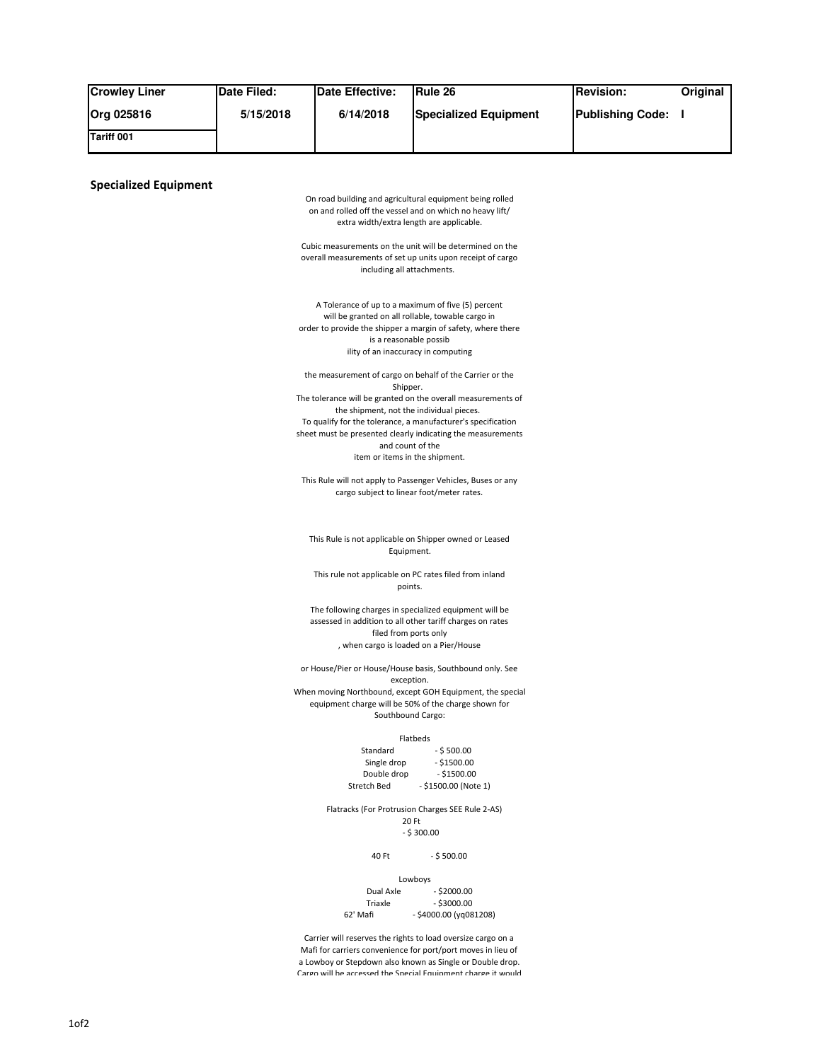| <b>Crowley Liner</b>         | Date Filed: | <b>Date Effective:</b>                                          | Rule 26                                                                                                                   | <b>Revision:</b>        | Original |
|------------------------------|-------------|-----------------------------------------------------------------|---------------------------------------------------------------------------------------------------------------------------|-------------------------|----------|
| Org 025816                   | 5/15/2018   | 6/14/2018                                                       | <b>Specialized Equipment</b>                                                                                              | <b>Publishing Code:</b> | H        |
| Tariff 001                   |             |                                                                 |                                                                                                                           |                         |          |
|                              |             |                                                                 |                                                                                                                           |                         |          |
|                              |             |                                                                 |                                                                                                                           |                         |          |
| <b>Specialized Equipment</b> |             |                                                                 | On road building and agricultural equipment being rolled                                                                  |                         |          |
|                              |             |                                                                 | on and rolled off the vessel and on which no heavy lift/                                                                  |                         |          |
|                              |             | extra width/extra length are applicable.                        |                                                                                                                           |                         |          |
|                              |             |                                                                 | Cubic measurements on the unit will be determined on the                                                                  |                         |          |
|                              |             | including all attachments.                                      | overall measurements of set up units upon receipt of cargo                                                                |                         |          |
|                              |             |                                                                 |                                                                                                                           |                         |          |
|                              |             | A Tolerance of up to a maximum of five (5) percent              |                                                                                                                           |                         |          |
|                              |             | will be granted on all rollable, towable cargo in               | order to provide the shipper a margin of safety, where there                                                              |                         |          |
|                              |             | is a reasonable possib                                          |                                                                                                                           |                         |          |
|                              |             | ility of an inaccuracy in computing                             |                                                                                                                           |                         |          |
|                              |             |                                                                 | the measurement of cargo on behalf of the Carrier or the                                                                  |                         |          |
|                              |             | Shipper.                                                        | The tolerance will be granted on the overall measurements of                                                              |                         |          |
|                              |             | the shipment, not the individual pieces.                        | To qualify for the tolerance, a manufacturer's specification                                                              |                         |          |
|                              |             |                                                                 | sheet must be presented clearly indicating the measurements                                                               |                         |          |
|                              |             | and count of the<br>item or items in the shipment.              |                                                                                                                           |                         |          |
|                              |             |                                                                 |                                                                                                                           |                         |          |
|                              |             | cargo subject to linear foot/meter rates.                       | This Rule will not apply to Passenger Vehicles, Buses or any                                                              |                         |          |
|                              |             |                                                                 |                                                                                                                           |                         |          |
|                              |             |                                                                 |                                                                                                                           |                         |          |
|                              |             | Equipment.                                                      | This Rule is not applicable on Shipper owned or Leased                                                                    |                         |          |
|                              |             | This rule not applicable on PC rates filed from inland          |                                                                                                                           |                         |          |
|                              |             | points.                                                         |                                                                                                                           |                         |          |
|                              |             | The following charges in specialized equipment will be          |                                                                                                                           |                         |          |
|                              |             | assessed in addition to all other tariff charges on rates       |                                                                                                                           |                         |          |
|                              |             | filed from ports only<br>, when cargo is loaded on a Pier/House |                                                                                                                           |                         |          |
|                              |             |                                                                 | or House/Pier or House/House basis, Southbound only. See                                                                  |                         |          |
|                              |             | exception.                                                      |                                                                                                                           |                         |          |
|                              |             |                                                                 | When moving Northbound, except GOH Equipment, the special<br>equipment charge will be 50% of the charge shown for         |                         |          |
|                              |             | Southbound Cargo:                                               |                                                                                                                           |                         |          |
|                              |             |                                                                 | Flatbeds                                                                                                                  |                         |          |
|                              |             | Standard                                                        | $-$ \$ 500.00                                                                                                             |                         |          |
|                              |             | Single drop<br>Double drop                                      | $-$ \$1500.00<br>$-$ \$1500.00                                                                                            |                         |          |
|                              |             | Stretch Bed                                                     | - \$1500.00 (Note 1)                                                                                                      |                         |          |
|                              |             |                                                                 | Flatracks (For Protrusion Charges SEE Rule 2-AS)                                                                          |                         |          |
|                              |             |                                                                 | 20 Ft<br>$-$ \$ 300.00                                                                                                    |                         |          |
|                              |             |                                                                 |                                                                                                                           |                         |          |
|                              |             | 40 Ft                                                           | $-$ \$ 500.00                                                                                                             |                         |          |
|                              |             |                                                                 | Lowboys                                                                                                                   |                         |          |
|                              |             | Dual Axle<br>Triaxle                                            | $-$ \$2000.00<br>$-$ \$3000.00                                                                                            |                         |          |
|                              |             | 62' Mafi                                                        | $-$ \$4000.00 (yq081208)                                                                                                  |                         |          |
|                              |             |                                                                 | Carrier will reserves the rights to load oversize cargo on a                                                              |                         |          |
|                              |             |                                                                 | Mafi for carriers convenience for port/port moves in lieu of<br>a Lowboy or Stepdown also known as Single or Double drop. |                         |          |
|                              |             |                                                                 | Caron will be accessed the Special Equinment charoe it would                                                              |                         |          |